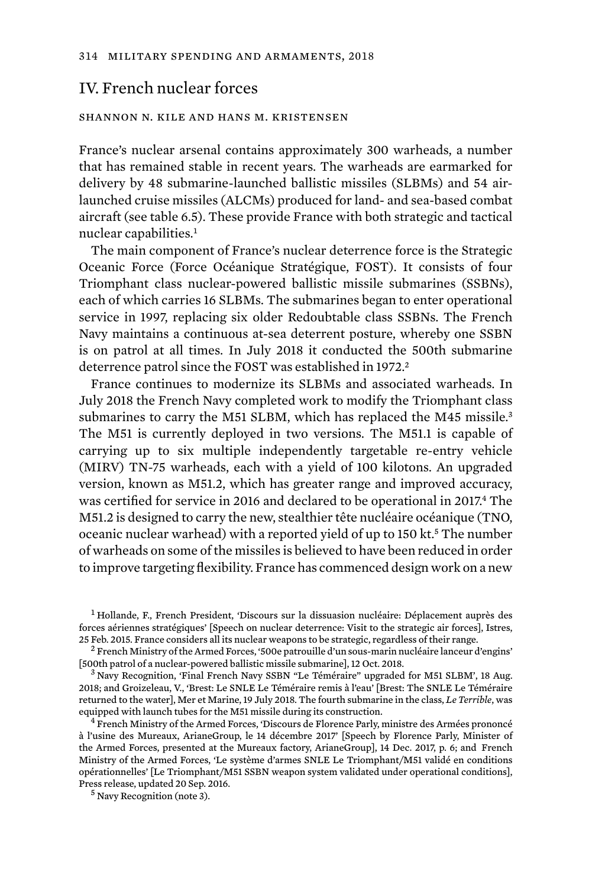## IV. French nuclear forces

## shannon n. kile and hans m. kristensen

France's nuclear arsenal contains approximately 300 warheads, a number that has remained stable in recent years. The warheads are earmarked for delivery by 48 submarine-launched ballistic missiles (SLBMs) and 54 airlaunched cruise missiles (ALCMs) produced for land- and sea-based combat aircraft (see table 6.5). These provide France with both strategic and tactical nuclear capabilities.<sup>1</sup>

The main component of France's nuclear deterrence force is the Strategic Oceanic Force (Force Océanique Stratégique, FOST). It consists of four Triomphant class nuclear-powered ballistic missile submarines (SSBNs), each of which carries 16 SLBMs. The submarines began to enter operational service in 1997, replacing six older Redoubtable class SSBNs. The French Navy maintains a continuous at-sea deterrent posture, whereby one SSBN is on patrol at all times. In July 2018 it conducted the 500th submarine deterrence patrol since the FOST was established in 1972.<sup>2</sup>

France continues to modernize its SLBMs and associated warheads. In July 2018 the French Navy completed work to modify the Triomphant class submarines to carry the M51 SLBM, which has replaced the M45 missile.<sup>3</sup> The M51 is currently deployed in two versions. The M51.1 is capable of carrying up to six multiple independently targetable re-entry vehicle (MIRV) TN-75 warheads, each with a yield of 100 kilotons. An upgraded version, known as M51.2, which has greater range and improved accuracy, was certified for service in 2016 and declared to be operational in 2017.4 The M51.2 is designed to carry the new, stealthier tête nucléaire océanique (TNO, oceanic nuclear warhead) with a reported yield of up to 150 kt.<sup>5</sup> The number of warheads on some of the missiles is believed to have been reduced in order to improve targeting flexibility. France has commenced design work on a new

<sup>1</sup> Hollande, F., French President, 'Discours sur la dissuasion nucléaire: Déplacement auprès des forces aériennes stratégiques' [Speech on nuclear deterrence: Visit to the strategic air forces], Istres,<br>25 Feb. 2015. France considers all its nuclear weapons to be strategic, regardless of their range.

<sup>2</sup> French Ministry of the Armed Forces, '500e patrouille d'un sous-marin nucléaire lanceur d'engins'<br>[500th patrol of a nuclear-powered ballistic missile submarine], 12 Oct. 2018.

 $3$  Navy Recognition, 'Final French Navy SSBN "Le Téméraire" upgraded for M51 SLBM', 18 Aug. 2018; and Groizeleau, V., 'Brest: Le SNLE Le Téméraire remis à l'eau' [Brest: The SNLE Le Téméraire returned to the water], Mer et Marine, 19 July 2018. The fourth submarine in the class, *Le Terrible*, was equipped with launch tubes for the M51 missile during its construction.<br> $4$  French Ministry of the Armed Forces, 'Discours de Florence Parly, ministre des Armées prononcé

à l'usine des Mureaux, ArianeGroup, le 14 décembre 2017' [Speech by Florence Parly, Minister of the Armed Forces, presented at the Mureaux factory, ArianeGroup], 14 Dec. 2017, p. 6; and French Ministry of the Armed Forces, 'Le système d'armes SNLE Le Triomphant/M51 validé en conditions opérationnelles' [Le Triomphant/M51 SSBN weapon system validated under operational conditions], Press release, updated 20 Sep. 2016. <sup>5</sup> Navy Recognition (note 3).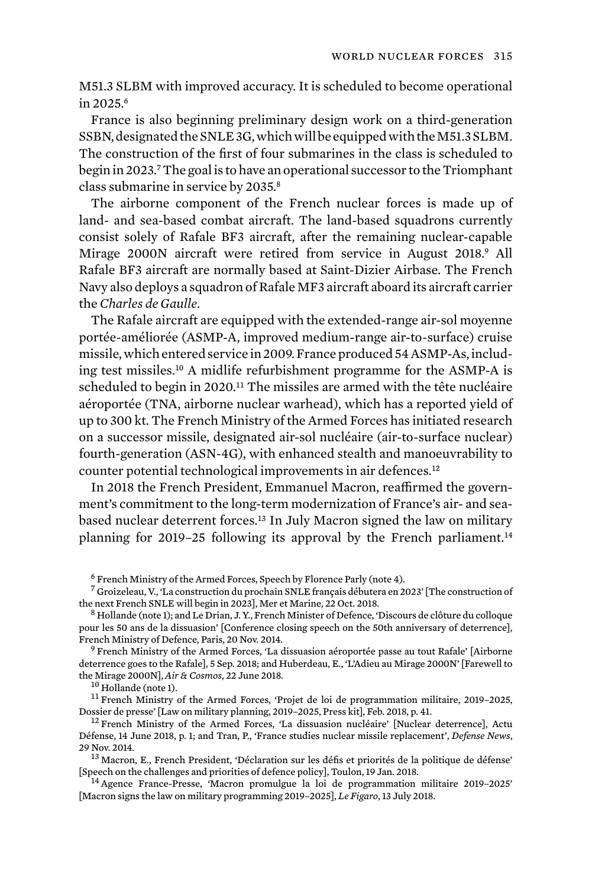M51.3 SLBM with improved accuracy. It is scheduled to become operational in 2025.<sup>6</sup>

France is also beginning preliminary design work on a third-generation SSBN, designated the SNLE 3G, which will be equipped with the M51.3 SLBM. The construction of the first of four submarines in the class is scheduled to begin in 2023.7 The goal is to have an operational successor to the Triomphant class submarine in service by 2035.<sup>8</sup>

The airborne component of the French nuclear forces is made up of land- and sea-based combat aircraft. The land-based squadrons currently consist solely of Rafale BF3 aircraft, after the remaining nuclear-capable Mirage 2000N aircraft were retired from service in August 2018.<sup>9</sup> All Rafale BF3 aircraft are normally based at Saint-Dizier Airbase. The French Navy also deploys a squadron of Rafale MF3 aircraft aboard its aircraft carrier the *Charles de Gaulle*.

The Rafale aircraft are equipped with the extended-range air-sol moyenne portée-améliorée (ASMP-A, improved medium-range air-to-surface) cruise missile, which entered service in 2009. France produced 54 ASMP-As, including test missiles.10 A midlife refurbishment programme for the ASMP-A is scheduled to begin in 2020.<sup>11</sup> The missiles are armed with the tête nucléaire aéroportée (TNA, airborne nuclear warhead), which has a reported yield of up to 300 kt. The French Ministry of the Armed Forces has initiated research on a successor missile, designated air-sol nucléaire (air-to-surface nuclear) fourth-generation (ASN-4G), with enhanced stealth and manoeuvrability to counter potential technological improvements in air defences.<sup>12</sup>

In 2018 the French President, Emmanuel Macron, reaffirmed the government's commitment to the long-term modernization of France's air- and seabased nuclear deterrent forces.<sup>13</sup> In July Macron signed the law on military planning for 2019–25 following its approval by the French parliament.<sup>14</sup>

deterrence goes to the Rafale], 5 Sep. 2018; and Huberdeau, E., 'L'Adieu au Mirage 2000N' [Farewell to

the Mirage 2000N], *Air & Cosmos*, 22 June 2018.<br><sup>10</sup> Hollande (note 1).<br><sup>11</sup> French Ministry of the Armed Forces, 'Projet de loi de programmation militaire, 2019–2025,<br>Dossier de presse' [Law on military planning, 2019–20

 $12$  French Ministry of the Armed Forces, 'La dissuasion nucléaire' [Nuclear deterrence], Actu Défense, 14 June 2018, p. 1; and Tran, P., 'France studies nuclear missile replacement', *Defense News*,

29 Nov. 2014.<br><sup>13</sup> Macron, E., French President, 'Déclaration sur les défis et priorités de la politique de défense'<br>[Speech on the challenges and priorities of defence policy], Toulon, 19 Jan. 2018.

<sup>14</sup> Agence France-Presse, 'Macron promulgue la loi de programmation militaire 2019-2025' [Macron signs the law on military programming 2019–2025], *Le Figaro*, 13 July 2018.

<sup>6</sup> French Ministry of the Armed Forces, Speech by Florence Parly (note 4).

 $^7$  Groizeleau, V., 'La construction du prochain SNLE français débutera en 2023' [The construction of the next French SNLE will begin in 2023]. Mer et Marine, 22 Oct. 2018.

 $8$  Hollande (note 1); and Le Drian, J. Y., French Minister of Defence, 'Discours de clôture du colloque pour les 50 ans de la dissuasion' [Conference closing speech on the 50th anniversary of deterrence], French Ministry of Defence, Paris, 20 Nov. 2014.<br><sup>9</sup> French Ministry of the Armed Forces, 'La dissuasion aéroportée passe au tout Rafale' [Airborne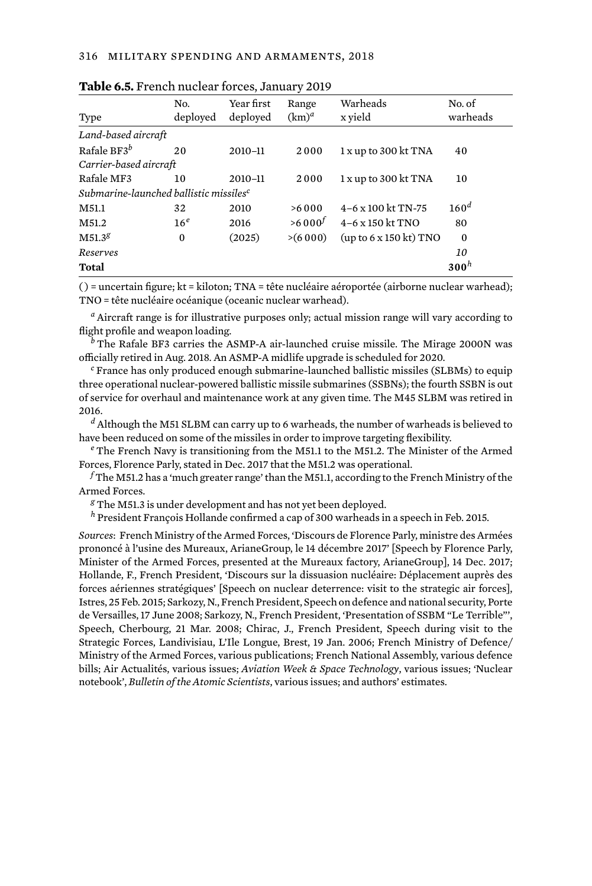| Type                                               | No.<br>deployed | Year first<br>deployed | Range<br>$(km)^d$ | Warheads<br>x yield       | No. of<br>warheads |
|----------------------------------------------------|-----------------|------------------------|-------------------|---------------------------|--------------------|
| Land-based aircraft                                |                 |                        |                   |                           |                    |
| Rafale BF3 $^b$                                    | 20              | 2010-11                | 2000              | $1x$ up to 300 kt TNA     | 40                 |
| Carrier-based aircraft                             |                 |                        |                   |                           |                    |
| Rafale MF3                                         | 10              | 2010-11                | 2000              | $1x$ up to 300 kt TNA     | 10                 |
| Submarine-launched ballistic missiles <sup>c</sup> |                 |                        |                   |                           |                    |
| M51.1                                              | 32              | 2010                   | >6000             | $4-6 \times 100$ kt TN-75 | 160 <sup>d</sup>   |
| M51.2                                              | 16 <sup>e</sup> | 2016                   | $>6000^t$         | $4-6 \times 150$ kt TNO   | 80                 |
| $M51.3^{8}$                                        | $\bf{0}$        | (2025)                 | >(6000)           | (up to 6 x 150 kt) TNO    | $\Omega$           |
| Reserves                                           |                 |                        |                   |                           | 10                 |
| Total                                              |                 |                        |                   |                           | 300 <sup>h</sup>   |
|                                                    |                 |                        |                   |                           |                    |

|  |  |  |  |  |  |  | Table 6.5. French nuclear forces, January 2019 |  |  |
|--|--|--|--|--|--|--|------------------------------------------------|--|--|
|--|--|--|--|--|--|--|------------------------------------------------|--|--|

( ) = uncertain figure; kt = kiloton; TNA = tête nucléaire aéroportée (airborne nuclear warhead); TNO = tête nucléaire océanique (oceanic nuclear warhead).

*<sup>a</sup>* Aircraft range is for illustrative purposes only; actual mission range will vary according to flight profile and weapon loading.

*<sup>b</sup>* The Rafale BF3 carries the ASMP-A air-launched cruise missile. The Mirage 2000N was officially retired in Aug. 2018. An ASMP-A midlife upgrade is scheduled for 2020.

*<sup>c</sup>* France has only produced enough submarine-launched ballistic missiles (SLBMs) to equip three operational nuclear-powered ballistic missile submarines (SSBNs); the fourth SSBN is out of service for overhaul and maintenance work at any given time. The M45 SLBM was retired in 2016.

*<sup>d</sup>* Although the M51 SLBM can carry up to 6 warheads, the number of warheads is believed to have been reduced on some of the missiles in order to improve targeting flexibility.

*<sup>e</sup>* The French Navy is transitioning from the M51.1 to the M51.2. The Minister of the Armed Forces, Florence Parly, stated in Dec. 2017 that the M51.2 was operational.

*<sup>f</sup>* The M51.2 has a 'much greater range' than the M51.1, according to the French Ministry of the Armed Forces.

*<sup>g</sup>* The M51.3 is under development and has not yet been deployed.

*<sup>h</sup>* President François Hollande confirmed a cap of 300 warheads in a speech in Feb. 2015.

*Sources*: French Ministry of the Armed Forces, 'Discours de Florence Parly, ministre des Armées prononcé à l'usine des Mureaux, ArianeGroup, le 14 décembre 2017' [Speech by Florence Parly, Minister of the Armed Forces, presented at the Mureaux factory, ArianeGroup], 14 Dec. 2017; Hollande, F., French President, 'Discours sur la dissuasion nucléaire: Déplacement auprès des forces aériennes stratégiques' [Speech on nuclear deterrence: visit to the strategic air forces], Istres, 25 Feb. 2015; Sarkozy, N., French President, Speech on defence and national security, Porte de Versailles, 17 June 2008; Sarkozy, N., French President, 'Presentation of SSBM "Le Terrible"', Speech, Cherbourg, 21 Mar. 2008; Chirac, J., French President, Speech during visit to the Strategic Forces, Landivisiau, L'Ile Longue, Brest, 19 Jan. 2006; French Ministry of Defence/ Ministry of the Armed Forces, various publications; French National Assembly, various defence bills; Air Actualités, various issues; *Aviation Week & Space Technology*, various issues; 'Nuclear notebook', *Bulletin of the Atomic Scientists*, various issues; and authors' estimates.